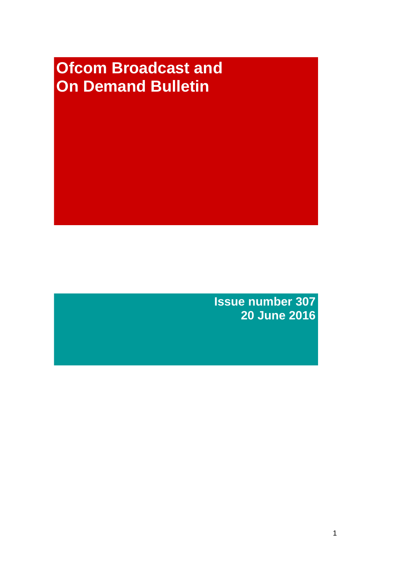# **Ofcom Broadcast and On Demand Bulletin**

**Issue number 307 20 June 2016**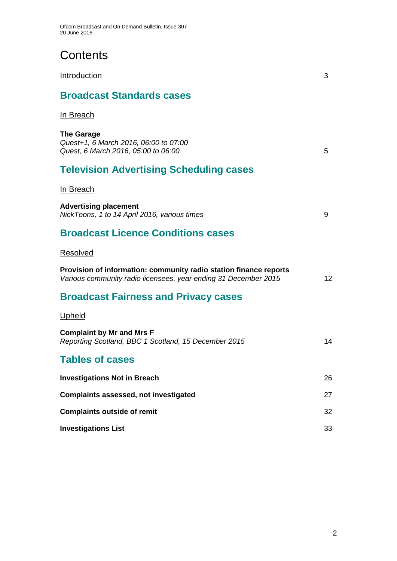Ofcom Broadcast and On Demand Bulletin, Issue 307 20 June 2016

# **Contents**

| Introduction                                                                                                                         | 3  |
|--------------------------------------------------------------------------------------------------------------------------------------|----|
| <b>Broadcast Standards cases</b>                                                                                                     |    |
| <u>In Breach</u>                                                                                                                     |    |
| <b>The Garage</b><br>Quest+1, 6 March 2016, 06:00 to 07:00<br>Quest, 6 March 2016, 05:00 to 06:00                                    | 5  |
| <b>Television Advertising Scheduling cases</b>                                                                                       |    |
| In Breach                                                                                                                            |    |
| <b>Advertising placement</b><br>NickToons, 1 to 14 April 2016, various times                                                         | 9  |
| <b>Broadcast Licence Conditions cases</b>                                                                                            |    |
| Resolved                                                                                                                             |    |
| Provision of information: community radio station finance reports<br>Various community radio licensees, year ending 31 December 2015 | 12 |
| <b>Broadcast Fairness and Privacy cases</b>                                                                                          |    |
| Upheld                                                                                                                               |    |
| <b>Complaint by Mr and Mrs F</b><br>Reporting Scotland, BBC 1 Scotland, 15 December 2015                                             | 14 |
| <b>Tables of cases</b>                                                                                                               |    |
| <b>Investigations Not in Breach</b>                                                                                                  | 26 |
| <b>Complaints assessed, not investigated</b>                                                                                         | 27 |
| <b>Complaints outside of remit</b>                                                                                                   | 32 |
| <b>Investigations List</b>                                                                                                           | 33 |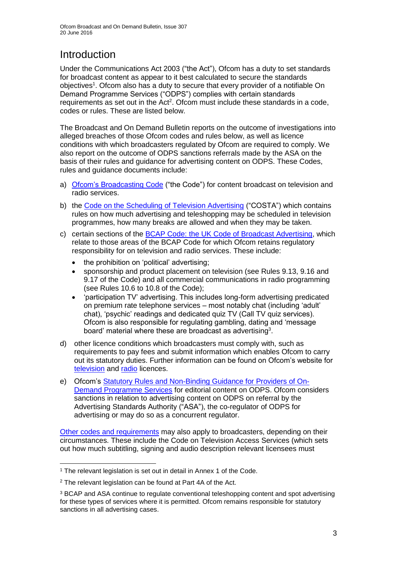# **Introduction**

Under the Communications Act 2003 ("the Act"), Ofcom has a duty to set standards for broadcast content as appear to it best calculated to secure the standards objectives<sup>1</sup>. Ofcom also has a duty to secure that every provider of a notifiable On Demand Programme Services ("ODPS") complies with certain standards requirements as set out in the Act<sup>2</sup>. Ofcom must include these standards in a code, codes or rules. These are listed below.

The Broadcast and On Demand Bulletin reports on the outcome of investigations into alleged breaches of those Ofcom codes and rules below, as well as licence conditions with which broadcasters regulated by Ofcom are required to comply. We also report on the outcome of ODPS sanctions referrals made by the ASA on the basis of their rules and guidance for advertising content on ODPS. These Codes, rules and guidance documents include:

- a) [Ofcom's Broadcasting Code](http://stakeholders.ofcom.org.uk/broadcasting/broadcast-codes/broadcast-code/) ("the Code") for content broadcast on television and radio services.
- b) the [Code on the Scheduling of Television Advertising](http://stakeholders.ofcom.org.uk/binaries/broadcast/other-codes/COSTA_April_2016.pdf) ("COSTA") which contains rules on how much advertising and teleshopping may be scheduled in television programmes, how many breaks are allowed and when they may be taken.
- c) certain sections of the [BCAP Code: the UK Code of Broadcast Advertising,](https://www.cap.org.uk/Advertising-Codes/Broadcast.aspx) which relate to those areas of the BCAP Code for which Ofcom retains regulatory responsibility for on television and radio services. These include:
	- the prohibition on 'political' advertising;
	- sponsorship and product placement on television (see Rules 9.13, 9.16 and 9.17 of the Code) and all commercial communications in radio programming (see Rules 10.6 to 10.8 of the Code);
	- 'participation TV' advertising. This includes long-form advertising predicated on premium rate telephone services – most notably chat (including 'adult' chat), 'psychic' readings and dedicated quiz TV (Call TV quiz services). Ofcom is also responsible for regulating gambling, dating and 'message board' material where these are broadcast as advertising<sup>3</sup>.
- d) other licence conditions which broadcasters must comply with, such as requirements to pay fees and submit information which enables Ofcom to carry out its statutory duties. Further information can be found on Ofcom's website for [television](http://licensing.ofcom.org.uk/tv-broadcast-licences/) and [radio](http://licensing.ofcom.org.uk/radio-broadcast-licensing/) licences.
- e) Ofcom's [Statutory Rules and Non-Binding Guidance for Providers of On-](http://stakeholders.ofcom.org.uk/binaries/broadcast/on-demand/rules-guidance/rules_and_guidance.pdf)[Demand Programme Services](http://stakeholders.ofcom.org.uk/binaries/broadcast/on-demand/rules-guidance/rules_and_guidance.pdf) for editorial content on ODPS. Ofcom considers sanctions in relation to advertising content on ODPS on referral by the Advertising Standards Authority ("ASA"), the co-regulator of ODPS for advertising or may do so as a concurrent regulator.

[Other codes and requirements](http://stakeholders.ofcom.org.uk/broadcasting/broadcast-codes/) may also apply to broadcasters, depending on their circumstances. These include the Code on Television Access Services (which sets out how much subtitling, signing and audio description relevant licensees must

1

<sup>&</sup>lt;sup>1</sup> The relevant legislation is set out in detail in Annex 1 of the Code.

<sup>&</sup>lt;sup>2</sup> The relevant legislation can be found at Part 4A of the Act.

<sup>3</sup> BCAP and ASA continue to regulate conventional teleshopping content and spot advertising for these types of services where it is permitted. Ofcom remains responsible for statutory sanctions in all advertising cases.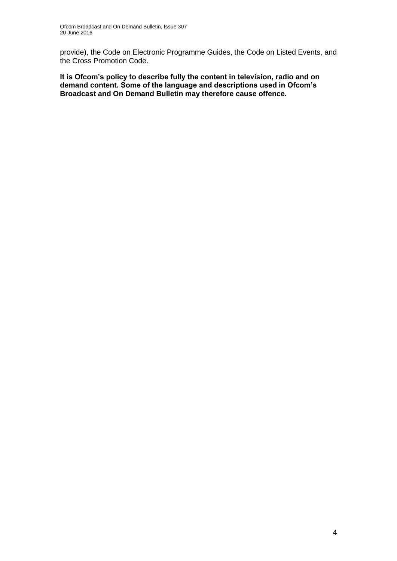provide), the Code on Electronic Programme Guides, the Code on Listed Events, and the Cross Promotion Code.

**It is Ofcom's policy to describe fully the content in television, radio and on demand content. Some of the language and descriptions used in Ofcom's Broadcast and On Demand Bulletin may therefore cause offence.**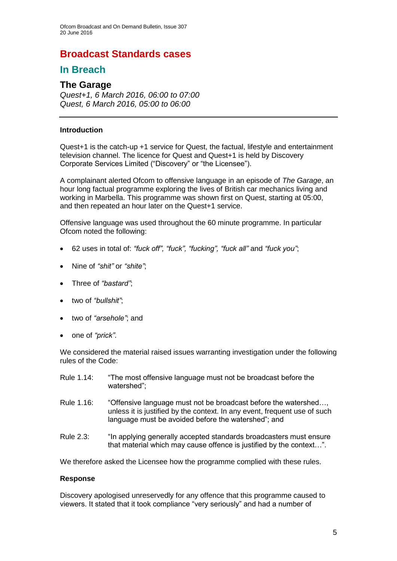### **Broadcast Standards cases**

### **In Breach**

### **The Garage**

*Quest+1, 6 March 2016, 06:00 to 07:00 Quest, 6 March 2016, 05:00 to 06:00*

#### **Introduction**

Quest+1 is the catch-up +1 service for Quest, the factual, lifestyle and entertainment television channel. The licence for Quest and Quest+1 is held by Discovery Corporate Services Limited ("Discovery" or "the Licensee").

A complainant alerted Ofcom to offensive language in an episode of *The Garage*, an hour long factual programme exploring the lives of British car mechanics living and working in Marbella. This programme was shown first on Quest, starting at 05:00, and then repeated an hour later on the Quest+1 service.

Offensive language was used throughout the 60 minute programme. In particular Ofcom noted the following:

- 62 uses in total of: *"fuck off", "fuck", "fucking", "fuck all"* and *"fuck you"*;
- Nine of *"shit"* or *"shite"*;
- Three of *"bastard"*;
- two of *"bullshit"*;
- two of *"arsehole"*; and
- one of *"prick"*.

We considered the material raised issues warranting investigation under the following rules of the Code:

| Rule 1.14: | "The most offensive language must not be broadcast before the<br>watershed";                                                                                                                        |
|------------|-----------------------------------------------------------------------------------------------------------------------------------------------------------------------------------------------------|
| Rule 1.16: | "Offensive language must not be broadcast before the watershed,<br>unless it is justified by the context. In any event, frequent use of such<br>language must be avoided before the watershed"; and |
| Rule 2.3:  | "In applying generally accepted standards broadcasters must ensure<br>that material which may cause offence is justified by the context".                                                           |

We therefore asked the Licensee how the programme complied with these rules.

#### **Response**

Discovery apologised unreservedly for any offence that this programme caused to viewers. It stated that it took compliance "very seriously" and had a number of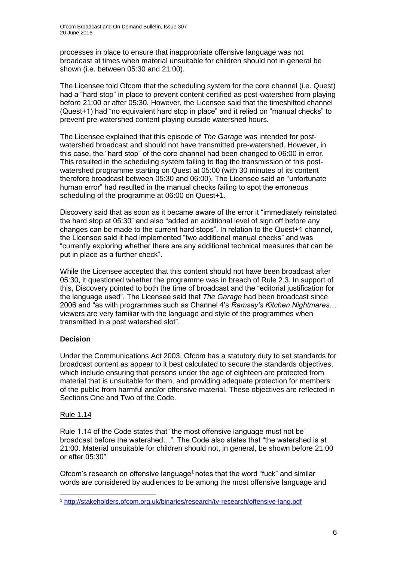processes in place to ensure that inappropriate offensive language was not broadcast at times when material unsuitable for children should not in general be shown (i.e. between 05:30 and 21:00).

The Licensee told Ofcom that the scheduling system for the core channel (i.e. Quest) had a "hard stop" in place to prevent content certified as post-watershed from playing before 21:00 or after 05:30. However, the Licensee said that the timeshifted channel (Quest+1) had "no equivalent hard stop in place" and it relied on "manual checks" to prevent pre-watershed content playing outside watershed hours.

The Licensee explained that this episode of *The Garage* was intended for postwatershed broadcast and should not have transmitted pre-watershed. However, in this case, the "hard stop" of the core channel had been changed to 06:00 in error. This resulted in the scheduling system failing to flag the transmission of this postwatershed programme starting on Quest at 05:00 (with 30 minutes of its content therefore broadcast between 05:30 and 06:00). The Licensee said an "unfortunate human error" had resulted in the manual checks failing to spot the erroneous scheduling of the programme at 06:00 on Quest+1.

Discovery said that as soon as it became aware of the error it "immediately reinstated the hard stop at 05:30" and also "added an additional level of sign off before any changes can be made to the current hard stops". In relation to the Quest+1 channel, the Licensee said it had implemented "two additional manual checks" and was "currently exploring whether there are any additional technical measures that can be put in place as a further check".

While the Licensee accepted that this content should not have been broadcast after 05:30, it questioned whether the programme was in breach of Rule 2.3. In support of this, Discovery pointed to both the time of broadcast and the "editorial justification for the language used". The Licensee said that *The Garage* had been broadcast since 2006 and "as with programmes such as Channel 4's *Ramsay's Kitchen Nightmares*… viewers are very familiar with the language and style of the programmes when transmitted in a post watershed slot".

#### **Decision**

Under the Communications Act 2003, Ofcom has a statutory duty to set standards for broadcast content as appear to it best calculated to secure the standards objectives, which include ensuring that persons under the age of eighteen are protected from material that is unsuitable for them, and providing adequate protection for members of the public from harmful and/or offensive material. These objectives are reflected in Sections One and Two of the Code.

#### Rule 1.14

 $\overline{a}$ 

Rule 1.14 of the Code states that "the most offensive language must not be broadcast before the watershed…". The Code also states that "the watershed is at 21:00. Material unsuitable for children should not, in general, be shown before 21:00 or after 05:30".

Ofcom's research on offensive language<sup>1</sup> notes that the word "fuck" and similar words are considered by audiences to be among the most offensive language and

<sup>1</sup> <http://stakeholders.ofcom.org.uk/binaries/research/tv-research/offensive-lang.pdf>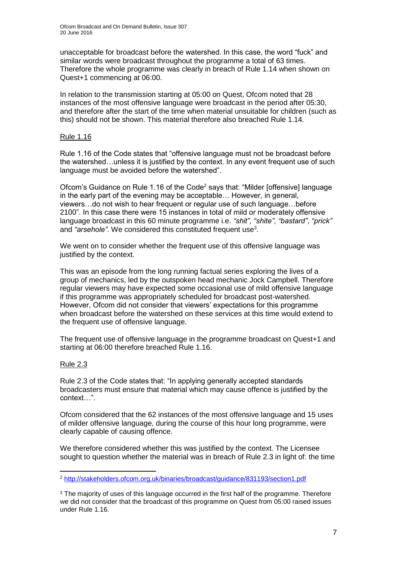unacceptable for broadcast before the watershed. In this case, the word "fuck" and similar words were broadcast throughout the programme a total of 63 times. Therefore the whole programme was clearly in breach of Rule 1.14 when shown on Quest+1 commencing at 06:00.

In relation to the transmission starting at 05:00 on Quest, Ofcom noted that 28 instances of the most offensive language were broadcast in the period after 05:30, and therefore after the start of the time when material unsuitable for children (such as this) should not be shown. This material therefore also breached Rule 1.14.

#### Rule 1.16

Rule 1.16 of the Code states that "offensive language must not be broadcast before the watershed…unless it is justified by the context. In any event frequent use of such language must be avoided before the watershed".

Ofcom's Guidance on Rule 1.16 of the Code<sup>2</sup> says that: "Milder [offensive] language in the early part of the evening may be acceptable… However, in general, viewers…do not wish to hear frequent or regular use of such language…before 2100". In this case there were 15 instances in total of mild or moderately offensive language broadcast in this 60 minute programme i.e. *"shit"*, *"shite"*, *"bastard"*, *"prick"* and "arsehole". We considered this constituted frequent use<sup>3</sup>.

We went on to consider whether the frequent use of this offensive language was justified by the context.

This was an episode from the long running factual series exploring the lives of a group of mechanics, led by the outspoken head mechanic Jock Campbell. Therefore regular viewers may have expected some occasional use of mild offensive language if this programme was appropriately scheduled for broadcast post-watershed. However, Ofcom did not consider that viewers' expectations for this programme when broadcast before the watershed on these services at this time would extend to the frequent use of offensive language.

The frequent use of offensive language in the programme broadcast on Quest+1 and starting at 06:00 therefore breached Rule 1.16.

#### Rule 2.3

Rule 2.3 of the Code states that: "In applying generally accepted standards broadcasters must ensure that material which may cause offence is justified by the context…".

Ofcom considered that the 62 instances of the most offensive language and 15 uses of milder offensive language, during the course of this hour long programme, were clearly capable of causing offence.

We therefore considered whether this was justified by the context. The Licensee sought to question whether the material was in breach of Rule 2.3 in light of: the time

<sup>1</sup> <sup>2</sup> <http://stakeholders.ofcom.org.uk/binaries/broadcast/guidance/831193/section1.pdf>

<sup>&</sup>lt;sup>3</sup> The majority of uses of this language occurred in the first half of the programme. Therefore we did not consider that the broadcast of this programme on Quest from 05:00 raised issues under Rule 1.16.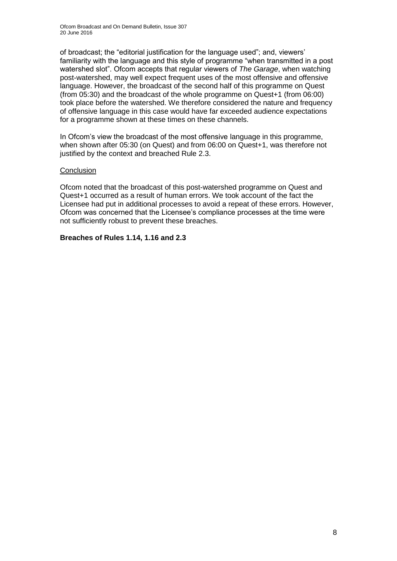of broadcast; the "editorial justification for the language used"; and, viewers' familiarity with the language and this style of programme "when transmitted in a post watershed slot". Ofcom accepts that regular viewers of *The Garage*, when watching post-watershed, may well expect frequent uses of the most offensive and offensive language. However, the broadcast of the second half of this programme on Quest (from 05:30) and the broadcast of the whole programme on Quest+1 (from 06:00) took place before the watershed. We therefore considered the nature and frequency of offensive language in this case would have far exceeded audience expectations for a programme shown at these times on these channels.

In Ofcom's view the broadcast of the most offensive language in this programme, when shown after 05:30 (on Quest) and from 06:00 on Quest+1, was therefore not justified by the context and breached Rule 2.3.

#### **Conclusion**

Ofcom noted that the broadcast of this post-watershed programme on Quest and Quest+1 occurred as a result of human errors. We took account of the fact the Licensee had put in additional processes to avoid a repeat of these errors. However, Ofcom was concerned that the Licensee's compliance processes at the time were not sufficiently robust to prevent these breaches.

#### **Breaches of Rules 1.14, 1.16 and 2.3**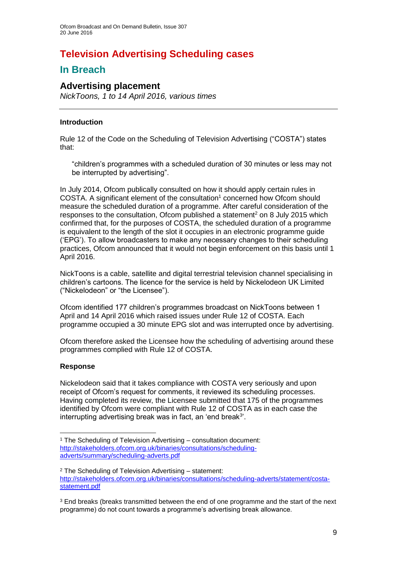# **Television Advertising Scheduling cases In Breach**

### **Advertising placement**

*NickToons, 1 to 14 April 2016, various times*

#### **Introduction**

Rule 12 of the Code on the Scheduling of Television Advertising ("COSTA") states that:

"children's programmes with a scheduled duration of 30 minutes or less may not be interrupted by advertising".

In July 2014, Ofcom publically consulted on how it should apply certain rules in COSTA. A significant element of the consultation<sup>1</sup> concerned how Ofcom should measure the scheduled duration of a programme. After careful consideration of the responses to the consultation, Ofcom published a statement<sup>2</sup> on 8 July 2015 which confirmed that, for the purposes of COSTA, the scheduled duration of a programme is equivalent to the length of the slot it occupies in an electronic programme guide ('EPG'). To allow broadcasters to make any necessary changes to their scheduling practices, Ofcom announced that it would not begin enforcement on this basis until 1 April 2016.

NickToons is a cable, satellite and digital terrestrial television channel specialising in children's cartoons. The licence for the service is held by Nickelodeon UK Limited ("Nickelodeon" or "the Licensee").

Ofcom identified 177 children's programmes broadcast on NickToons between 1 April and 14 April 2016 which raised issues under Rule 12 of COSTA. Each programme occupied a 30 minute EPG slot and was interrupted once by advertising.

Ofcom therefore asked the Licensee how the scheduling of advertising around these programmes complied with Rule 12 of COSTA.

#### **Response**

1

Nickelodeon said that it takes compliance with COSTA very seriously and upon receipt of Ofcom's request for comments, it reviewed its scheduling processes. Having completed its review, the Licensee submitted that 175 of the programmes identified by Ofcom were compliant with Rule 12 of COSTA as in each case the interrupting advertising break was in fact, an 'end break<sup>3</sup>'.

<sup>1</sup> The Scheduling of Television Advertising – consultation document: [http://stakeholders.ofcom.org.uk/binaries/consultations/scheduling](http://stakeholders.ofcom.org.uk/binaries/consultations/scheduling-adverts/summary/scheduling-adverts.pdf)[adverts/summary/scheduling-adverts.pdf](http://stakeholders.ofcom.org.uk/binaries/consultations/scheduling-adverts/summary/scheduling-adverts.pdf)

<sup>2</sup> The Scheduling of Television Advertising – statement: [http://stakeholders.ofcom.org.uk/binaries/consultations/scheduling-adverts/statement/costa](http://stakeholders.ofcom.org.uk/binaries/consultations/scheduling-adverts/statement/costa-statement.pdf)[statement.pdf](http://stakeholders.ofcom.org.uk/binaries/consultations/scheduling-adverts/statement/costa-statement.pdf)

<sup>3</sup> End breaks (breaks transmitted between the end of one programme and the start of the next programme) do not count towards a programme's advertising break allowance.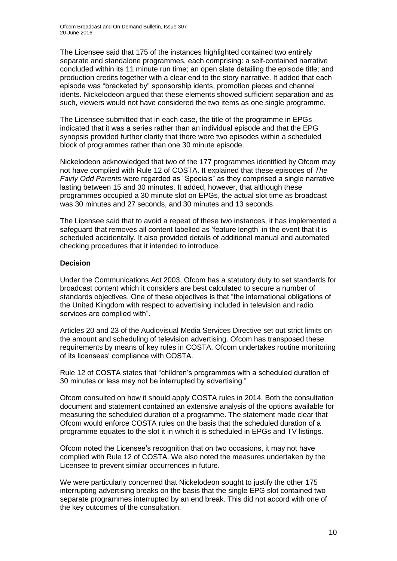The Licensee said that 175 of the instances highlighted contained two entirely separate and standalone programmes, each comprising: a self-contained narrative concluded within its 11 minute run time; an open slate detailing the episode title; and production credits together with a clear end to the story narrative. It added that each episode was "bracketed by" sponsorship idents, promotion pieces and channel idents. Nickelodeon argued that these elements showed sufficient separation and as such, viewers would not have considered the two items as one single programme.

The Licensee submitted that in each case, the title of the programme in EPGs indicated that it was a series rather than an individual episode and that the EPG synopsis provided further clarity that there were two episodes within a scheduled block of programmes rather than one 30 minute episode.

Nickelodeon acknowledged that two of the 177 programmes identified by Ofcom may not have complied with Rule 12 of COSTA. It explained that these episodes of *The Fairly Odd Parents* were regarded as "Specials" as they comprised a single narrative lasting between 15 and 30 minutes. It added, however, that although these programmes occupied a 30 minute slot on EPGs, the actual slot time as broadcast was 30 minutes and 27 seconds, and 30 minutes and 13 seconds.

The Licensee said that to avoid a repeat of these two instances, it has implemented a safeguard that removes all content labelled as 'feature length' in the event that it is scheduled accidentally. It also provided details of additional manual and automated checking procedures that it intended to introduce.

#### **Decision**

Under the Communications Act 2003, Ofcom has a statutory duty to set standards for broadcast content which it considers are best calculated to secure a number of standards objectives. One of these objectives is that "the international obligations of the United Kingdom with respect to advertising included in television and radio services are complied with".

Articles 20 and 23 of the Audiovisual Media Services Directive set out strict limits on the amount and scheduling of television advertising. Ofcom has transposed these requirements by means of key rules in COSTA. Ofcom undertakes routine monitoring of its licensees' compliance with COSTA.

Rule 12 of COSTA states that "children's programmes with a scheduled duration of 30 minutes or less may not be interrupted by advertising."

Ofcom consulted on how it should apply COSTA rules in 2014. Both the consultation document and statement contained an extensive analysis of the options available for measuring the scheduled duration of a programme. The statement made clear that Ofcom would enforce COSTA rules on the basis that the scheduled duration of a programme equates to the slot it in which it is scheduled in EPGs and TV listings.

Ofcom noted the Licensee's recognition that on two occasions, it may not have complied with Rule 12 of COSTA. We also noted the measures undertaken by the Licensee to prevent similar occurrences in future.

We were particularly concerned that Nickelodeon sought to justify the other 175 interrupting advertising breaks on the basis that the single EPG slot contained two separate programmes interrupted by an end break. This did not accord with one of the key outcomes of the consultation.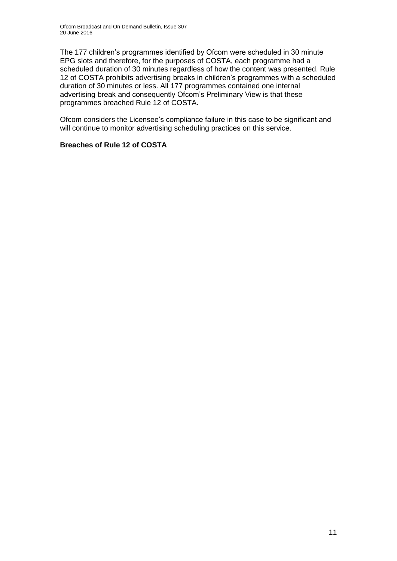The 177 children's programmes identified by Ofcom were scheduled in 30 minute EPG slots and therefore, for the purposes of COSTA, each programme had a scheduled duration of 30 minutes regardless of how the content was presented. Rule 12 of COSTA prohibits advertising breaks in children's programmes with a scheduled duration of 30 minutes or less. All 177 programmes contained one internal advertising break and consequently Ofcom's Preliminary View is that these programmes breached Rule 12 of COSTA.

Ofcom considers the Licensee's compliance failure in this case to be significant and will continue to monitor advertising scheduling practices on this service.

#### **Breaches of Rule 12 of COSTA**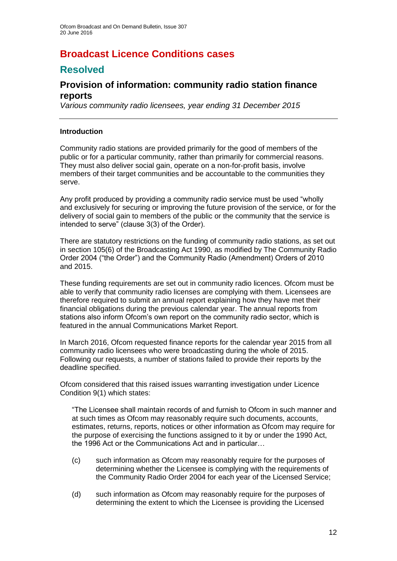## **Broadcast Licence Conditions cases**

### **Resolved**

### **Provision of information: community radio station finance reports**

*Various community radio licensees, year ending 31 December 2015*

#### **Introduction**

Community radio stations are provided primarily for the good of members of the public or for a particular community, rather than primarily for commercial reasons. They must also deliver social gain, operate on a non-for-profit basis, involve members of their target communities and be accountable to the communities they serve.

Any profit produced by providing a community radio service must be used "wholly and exclusively for securing or improving the future provision of the service, or for the delivery of social gain to members of the public or the community that the service is intended to serve" (clause 3(3) of the Order).

There are statutory restrictions on the funding of community radio stations, as set out in section 105(6) of the Broadcasting Act 1990, as modified by The Community Radio Order 2004 ("the Order") and the Community Radio (Amendment) Orders of 2010 and 2015.

These funding requirements are set out in community radio licences. Ofcom must be able to verify that community radio licenses are complying with them. Licensees are therefore required to submit an annual report explaining how they have met their financial obligations during the previous calendar year. The annual reports from stations also inform Ofcom's own report on the community radio sector, which is featured in the annual Communications Market Report.

In March 2016, Ofcom requested finance reports for the calendar year 2015 from all community radio licensees who were broadcasting during the whole of 2015. Following our requests, a number of stations failed to provide their reports by the deadline specified.

Ofcom considered that this raised issues warranting investigation under Licence Condition 9(1) which states:

"The Licensee shall maintain records of and furnish to Ofcom in such manner and at such times as Ofcom may reasonably require such documents, accounts, estimates, returns, reports, notices or other information as Ofcom may require for the purpose of exercising the functions assigned to it by or under the 1990 Act, the 1996 Act or the Communications Act and in particular…

- (c) such information as Ofcom may reasonably require for the purposes of determining whether the Licensee is complying with the requirements of the Community Radio Order 2004 for each year of the Licensed Service;
- (d) such information as Ofcom may reasonably require for the purposes of determining the extent to which the Licensee is providing the Licensed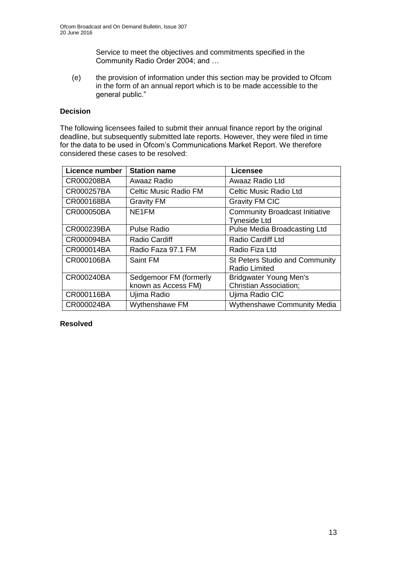Service to meet the objectives and commitments specified in the Community Radio Order 2004; and …

(e) the provision of information under this section may be provided to Ofcom in the form of an annual report which is to be made accessible to the general public."

#### **Decision**

The following licensees failed to submit their annual finance report by the original deadline, but subsequently submitted late reports. However, they were filed in time for the data to be used in Ofcom's Communications Market Report. We therefore considered these cases to be resolved:

| Licence number | <b>Station name</b>                           | <b>Licensee</b>                                                |
|----------------|-----------------------------------------------|----------------------------------------------------------------|
| CR000208BA     | Awaaz Radio                                   | Awaaz Radio Ltd                                                |
| CR000257BA     | <b>Celtic Music Radio FM</b>                  | <b>Celtic Music Radio Ltd</b>                                  |
| CR000168BA     | <b>Gravity FM</b>                             | <b>Gravity FM CIC</b>                                          |
| CR000050BA     | NE1FM                                         | <b>Community Broadcast Initiative</b><br><b>Tyneside Ltd</b>   |
| CR000239BA     | <b>Pulse Radio</b>                            | Pulse Media Broadcasting Ltd                                   |
| CR000094BA     | <b>Radio Cardiff</b>                          | <b>Radio Cardiff Ltd</b>                                       |
| CR000014BA     | Radio Faza 97.1 FM                            | Radio Fiza Ltd                                                 |
| CR000106BA     | Saint FM                                      | <b>St Peters Studio and Community</b><br><b>Radio Limited</b>  |
| CR000240BA     | Sedgemoor FM (formerly<br>known as Access FM) | <b>Bridgwater Young Men's</b><br><b>Christian Association;</b> |
| CR000116BA     | Ujima Radio                                   | Ujima Radio CIC                                                |
| CR000024BA     | Wythenshawe FM                                | <b>Wythenshawe Community Media</b>                             |

#### **Resolved**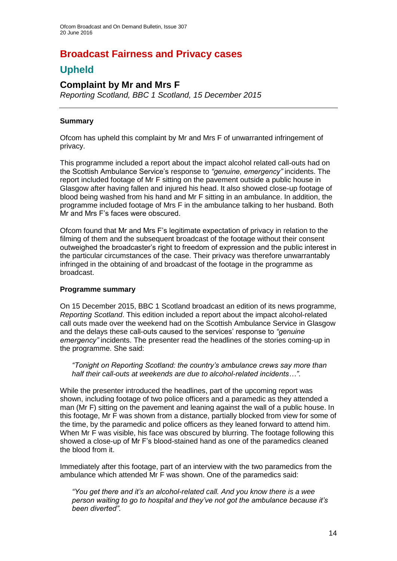## **Broadcast Fairness and Privacy cases**

### **Upheld**

### **Complaint by Mr and Mrs F**

*Reporting Scotland, BBC 1 Scotland, 15 December 2015*

#### **Summary**

Ofcom has upheld this complaint by Mr and Mrs F of unwarranted infringement of privacy.

This programme included a report about the impact alcohol related call-outs had on the Scottish Ambulance Service's response to *"genuine, emergency"* incidents. The report included footage of Mr F sitting on the pavement outside a public house in Glasgow after having fallen and injured his head. It also showed close-up footage of blood being washed from his hand and Mr F sitting in an ambulance. In addition, the programme included footage of Mrs F in the ambulance talking to her husband. Both Mr and Mrs F's faces were obscured.

Ofcom found that Mr and Mrs F's legitimate expectation of privacy in relation to the filming of them and the subsequent broadcast of the footage without their consent outweighed the broadcaster's right to freedom of expression and the public interest in the particular circumstances of the case. Their privacy was therefore unwarrantably infringed in the obtaining of and broadcast of the footage in the programme as broadcast.

#### **Programme summary**

On 15 December 2015, BBC 1 Scotland broadcast an edition of its news programme, *Reporting Scotland*. This edition included a report about the impact alcohol-related call outs made over the weekend had on the Scottish Ambulance Service in Glasgow and the delays these call-outs caused to the services' response to *"genuine emergency"* incidents. The presenter read the headlines of the stories coming-up in the programme. She said:

*"Tonight on Reporting Scotland: the country's ambulance crews say more than half their call-outs at weekends are due to alcohol-related incidents…"*.

While the presenter introduced the headlines, part of the upcoming report was shown, including footage of two police officers and a paramedic as they attended a man (Mr F) sitting on the pavement and leaning against the wall of a public house. In this footage, Mr F was shown from a distance, partially blocked from view for some of the time, by the paramedic and police officers as they leaned forward to attend him. When Mr F was visible, his face was obscured by blurring. The footage following this showed a close-up of Mr F's blood-stained hand as one of the paramedics cleaned the blood from it.

Immediately after this footage, part of an interview with the two paramedics from the ambulance which attended Mr F was shown. One of the paramedics said:

*"You get there and it's an alcohol-related call. And you know there is a wee person waiting to go to hospital and they've not got the ambulance because it's been diverted"*.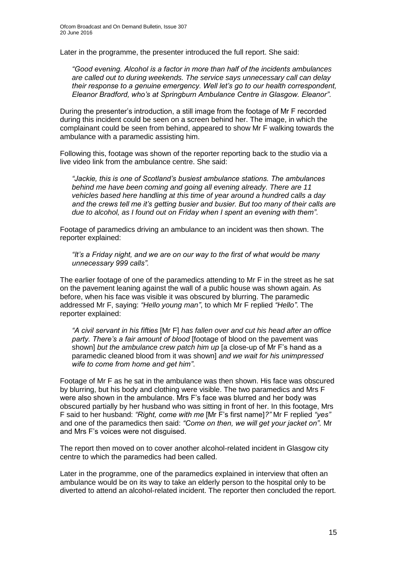Later in the programme, the presenter introduced the full report. She said:

*"Good evening. Alcohol is a factor in more than half of the incidents ambulances are called out to during weekends. The service says unnecessary call can delay their response to a genuine emergency. Well let's go to our health correspondent, Eleanor Bradford, who's at Springburn Ambulance Centre in Glasgow. Eleanor"*.

During the presenter's introduction, a still image from the footage of Mr F recorded during this incident could be seen on a screen behind her. The image, in which the complainant could be seen from behind, appeared to show Mr F walking towards the ambulance with a paramedic assisting him.

Following this, footage was shown of the reporter reporting back to the studio via a live video link from the ambulance centre. She said:

*"Jackie, this is one of Scotland's busiest ambulance stations. The ambulances behind me have been coming and going all evening already. There are 11 vehicles based here handling at this time of year around a hundred calls a day and the crews tell me it's getting busier and busier. But too many of their calls are due to alcohol, as I found out on Friday when I spent an evening with them"*.

Footage of paramedics driving an ambulance to an incident was then shown. The reporter explained:

*"It's a Friday night, and we are on our way to the first of what would be many unnecessary 999 calls".*

The earlier footage of one of the paramedics attending to Mr F in the street as he sat on the pavement leaning against the wall of a public house was shown again. As before, when his face was visible it was obscured by blurring. The paramedic addressed Mr F, saying: *"Hello young man"*, to which Mr F replied *"Hello"*. The reporter explained:

*"A civil servant in his fifties* [Mr F] *has fallen over and cut his head after an office party. There's a fair amount of blood* [footage of blood on the pavement was shown] *but the ambulance crew patch him up* [a close-up of Mr F's hand as a paramedic cleaned blood from it was shown] *and we wait for his unimpressed wife to come from home and get him"*.

Footage of Mr F as he sat in the ambulance was then shown. His face was obscured by blurring, but his body and clothing were visible. The two paramedics and Mrs F were also shown in the ambulance. Mrs F's face was blurred and her body was obscured partially by her husband who was sitting in front of her. In this footage, Mrs F said to her husband: *"Right, come with me* [Mr F's first name]*?"* Mr F replied *"yes"* and one of the paramedics then said: *"Come on then, we will get your jacket on"*. Mr and Mrs F's voices were not disguised.

The report then moved on to cover another alcohol-related incident in Glasgow city centre to which the paramedics had been called.

Later in the programme, one of the paramedics explained in interview that often an ambulance would be on its way to take an elderly person to the hospital only to be diverted to attend an alcohol-related incident. The reporter then concluded the report.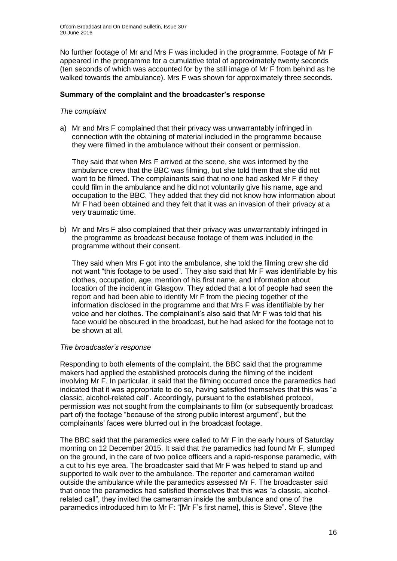No further footage of Mr and Mrs F was included in the programme. Footage of Mr F appeared in the programme for a cumulative total of approximately twenty seconds (ten seconds of which was accounted for by the still image of Mr F from behind as he walked towards the ambulance). Mrs F was shown for approximately three seconds.

#### **Summary of the complaint and the broadcaster's response**

#### *The complaint*

a) Mr and Mrs F complained that their privacy was unwarrantably infringed in connection with the obtaining of material included in the programme because they were filmed in the ambulance without their consent or permission.

They said that when Mrs F arrived at the scene, she was informed by the ambulance crew that the BBC was filming, but she told them that she did not want to be filmed. The complainants said that no one had asked Mr F if they could film in the ambulance and he did not voluntarily give his name, age and occupation to the BBC. They added that they did not know how information about Mr F had been obtained and they felt that it was an invasion of their privacy at a very traumatic time.

b) Mr and Mrs F also complained that their privacy was unwarrantably infringed in the programme as broadcast because footage of them was included in the programme without their consent.

They said when Mrs F got into the ambulance, she told the filming crew she did not want "this footage to be used". They also said that Mr F was identifiable by his clothes, occupation, age, mention of his first name, and information about location of the incident in Glasgow. They added that a lot of people had seen the report and had been able to identify Mr F from the piecing together of the information disclosed in the programme and that Mrs F was identifiable by her voice and her clothes. The complainant's also said that Mr F was told that his face would be obscured in the broadcast, but he had asked for the footage not to be shown at all.

#### *The broadcaster's response*

Responding to both elements of the complaint, the BBC said that the programme makers had applied the established protocols during the filming of the incident involving Mr F. In particular, it said that the filming occurred once the paramedics had indicated that it was appropriate to do so, having satisfied themselves that this was "a classic, alcohol-related call". Accordingly, pursuant to the established protocol, permission was not sought from the complainants to film (or subsequently broadcast part of) the footage "because of the strong public interest argument", but the complainants' faces were blurred out in the broadcast footage.

The BBC said that the paramedics were called to Mr F in the early hours of Saturday morning on 12 December 2015. It said that the paramedics had found Mr F, slumped on the ground, in the care of two police officers and a rapid-response paramedic, with a cut to his eye area. The broadcaster said that Mr F was helped to stand up and supported to walk over to the ambulance. The reporter and cameraman waited outside the ambulance while the paramedics assessed Mr F. The broadcaster said that once the paramedics had satisfied themselves that this was "a classic, alcoholrelated call", they invited the cameraman inside the ambulance and one of the paramedics introduced him to Mr F: "[Mr F's first name], this is Steve". Steve (the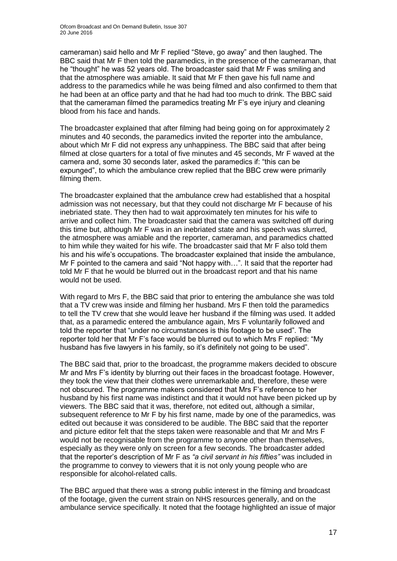cameraman) said hello and Mr F replied "Steve, go away" and then laughed. The BBC said that Mr F then told the paramedics, in the presence of the cameraman, that he "thought" he was 52 years old. The broadcaster said that Mr F was smiling and that the atmosphere was amiable. It said that Mr F then gave his full name and address to the paramedics while he was being filmed and also confirmed to them that he had been at an office party and that he had had too much to drink. The BBC said that the cameraman filmed the paramedics treating Mr F's eye injury and cleaning blood from his face and hands.

The broadcaster explained that after filming had being going on for approximately 2 minutes and 40 seconds, the paramedics invited the reporter into the ambulance, about which Mr F did not express any unhappiness. The BBC said that after being filmed at close quarters for a total of five minutes and 45 seconds, Mr F waved at the camera and, some 30 seconds later, asked the paramedics if: "this can be expunged", to which the ambulance crew replied that the BBC crew were primarily filming them.

The broadcaster explained that the ambulance crew had established that a hospital admission was not necessary, but that they could not discharge Mr F because of his inebriated state. They then had to wait approximately ten minutes for his wife to arrive and collect him. The broadcaster said that the camera was switched off during this time but, although Mr F was in an inebriated state and his speech was slurred, the atmosphere was amiable and the reporter, cameraman, and paramedics chatted to him while they waited for his wife. The broadcaster said that Mr F also told them his and his wife's occupations. The broadcaster explained that inside the ambulance, Mr F pointed to the camera and said "Not happy with…". It said that the reporter had told Mr F that he would be blurred out in the broadcast report and that his name would not be used.

With regard to Mrs F, the BBC said that prior to entering the ambulance she was told that a TV crew was inside and filming her husband. Mrs F then told the paramedics to tell the TV crew that she would leave her husband if the filming was used. It added that, as a paramedic entered the ambulance again, Mrs F voluntarily followed and told the reporter that "under no circumstances is this footage to be used". The reporter told her that Mr F's face would be blurred out to which Mrs F replied: "My husband has five lawyers in his family, so it's definitely not going to be used".

The BBC said that, prior to the broadcast, the programme makers decided to obscure Mr and Mrs F's identity by blurring out their faces in the broadcast footage. However, they took the view that their clothes were unremarkable and, therefore, these were not obscured. The programme makers considered that Mrs F's reference to her husband by his first name was indistinct and that it would not have been picked up by viewers. The BBC said that it was, therefore, not edited out, although a similar, subsequent reference to Mr F by his first name, made by one of the paramedics, was edited out because it was considered to be audible. The BBC said that the reporter and picture editor felt that the steps taken were reasonable and that Mr and Mrs F would not be recognisable from the programme to anyone other than themselves, especially as they were only on screen for a few seconds. The broadcaster added that the reporter's description of Mr F as *"a civil servant in his fifties"* was included in the programme to convey to viewers that it is not only young people who are responsible for alcohol-related calls.

The BBC argued that there was a strong public interest in the filming and broadcast of the footage, given the current strain on NHS resources generally, and on the ambulance service specifically. It noted that the footage highlighted an issue of major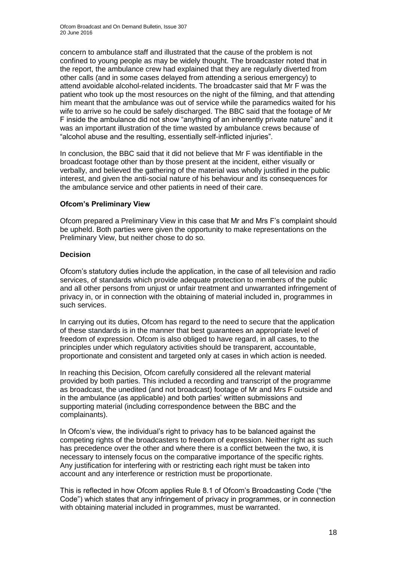concern to ambulance staff and illustrated that the cause of the problem is not confined to young people as may be widely thought. The broadcaster noted that in the report, the ambulance crew had explained that they are regularly diverted from other calls (and in some cases delayed from attending a serious emergency) to attend avoidable alcohol-related incidents. The broadcaster said that Mr F was the patient who took up the most resources on the night of the filming, and that attending him meant that the ambulance was out of service while the paramedics waited for his wife to arrive so he could be safely discharged. The BBC said that the footage of Mr F inside the ambulance did not show "anything of an inherently private nature" and it was an important illustration of the time wasted by ambulance crews because of "alcohol abuse and the resulting, essentially self-inflicted injuries".

In conclusion, the BBC said that it did not believe that Mr F was identifiable in the broadcast footage other than by those present at the incident, either visually or verbally, and believed the gathering of the material was wholly justified in the public interest, and given the anti-social nature of his behaviour and its consequences for the ambulance service and other patients in need of their care.

#### **Ofcom's Preliminary View**

Ofcom prepared a Preliminary View in this case that Mr and Mrs F's complaint should be upheld. Both parties were given the opportunity to make representations on the Preliminary View, but neither chose to do so.

#### **Decision**

Ofcom's statutory duties include the application, in the case of all television and radio services, of standards which provide adequate protection to members of the public and all other persons from unjust or unfair treatment and unwarranted infringement of privacy in, or in connection with the obtaining of material included in, programmes in such services.

In carrying out its duties, Ofcom has regard to the need to secure that the application of these standards is in the manner that best guarantees an appropriate level of freedom of expression. Ofcom is also obliged to have regard, in all cases, to the principles under which regulatory activities should be transparent, accountable, proportionate and consistent and targeted only at cases in which action is needed.

In reaching this Decision, Ofcom carefully considered all the relevant material provided by both parties. This included a recording and transcript of the programme as broadcast, the unedited (and not broadcast) footage of Mr and Mrs F outside and in the ambulance (as applicable) and both parties' written submissions and supporting material (including correspondence between the BBC and the complainants).

In Ofcom's view, the individual's right to privacy has to be balanced against the competing rights of the broadcasters to freedom of expression. Neither right as such has precedence over the other and where there is a conflict between the two, it is necessary to intensely focus on the comparative importance of the specific rights. Any justification for interfering with or restricting each right must be taken into account and any interference or restriction must be proportionate.

This is reflected in how Ofcom applies Rule 8.1 of Ofcom's Broadcasting Code ("the Code") which states that any infringement of privacy in programmes, or in connection with obtaining material included in programmes, must be warranted.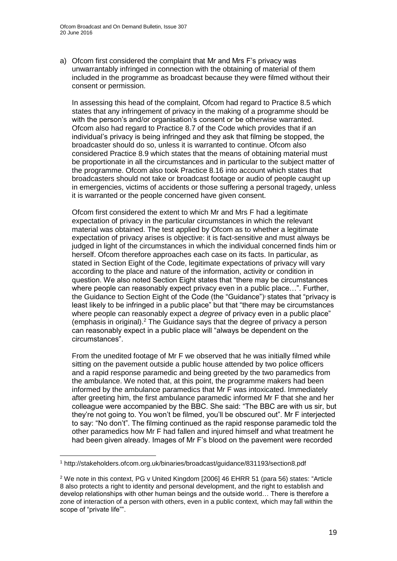a) Ofcom first considered the complaint that Mr and Mrs F's privacy was unwarrantably infringed in connection with the obtaining of material of them included in the programme as broadcast because they were filmed without their consent or permission.

In assessing this head of the complaint, Ofcom had regard to Practice 8.5 which states that any infringement of privacy in the making of a programme should be with the person's and/or organisation's consent or be otherwise warranted. Ofcom also had regard to Practice 8.7 of the Code which provides that if an individual's privacy is being infringed and they ask that filming be stopped, the broadcaster should do so, unless it is warranted to continue. Ofcom also considered Practice 8.9 which states that the means of obtaining material must be proportionate in all the circumstances and in particular to the subject matter of the programme. Ofcom also took Practice 8.16 into account which states that broadcasters should not take or broadcast footage or audio of people caught up in emergencies, victims of accidents or those suffering a personal tragedy, unless it is warranted or the people concerned have given consent.

Ofcom first considered the extent to which Mr and Mrs F had a legitimate expectation of privacy in the particular circumstances in which the relevant material was obtained. The test applied by Ofcom as to whether a legitimate expectation of privacy arises is objective: it is fact-sensitive and must always be judged in light of the circumstances in which the individual concerned finds him or herself. Ofcom therefore approaches each case on its facts. In particular, as stated in Section Eight of the Code, legitimate expectations of privacy will vary according to the place and nature of the information, activity or condition in question. We also noted Section Eight states that "there may be circumstances where people can reasonably expect privacy even in a public place…". Further, the Guidance to Section Eight of the Code (the "Guidance") states that "privacy is least likely to be infringed in a public place" but that "there may be circumstances where people can reasonably expect a *degree* of privacy even in a public place" (emphasis in original).<sup>2</sup> The Guidance says that the degree of privacy a person can reasonably expect in a public place will "always be dependent on the circumstances".

From the unedited footage of Mr F we observed that he was initially filmed while sitting on the pavement outside a public house attended by two police officers and a rapid response paramedic and being greeted by the two paramedics from the ambulance. We noted that, at this point, the programme makers had been informed by the ambulance paramedics that Mr F was intoxicated. Immediately after greeting him, the first ambulance paramedic informed Mr F that she and her colleague were accompanied by the BBC. She said: "The BBC are with us sir, but they're not going to. You won't be filmed, you'll be obscured out". Mr F interjected to say: "No don't". The filming continued as the rapid response paramedic told the other paramedics how Mr F had fallen and injured himself and what treatment he had been given already. Images of Mr F's blood on the pavement were recorded

1

<sup>1</sup> http://stakeholders.ofcom.org.uk/binaries/broadcast/guidance/831193/section8.pdf

<sup>2</sup> We note in this context, PG v United Kingdom [2006] 46 EHRR 51 (para 56) states: "Article 8 also protects a right to identity and personal development, and the right to establish and develop relationships with other human beings and the outside world… There is therefore a zone of interaction of a person with others, even in a public context, which may fall within the scope of "private life"".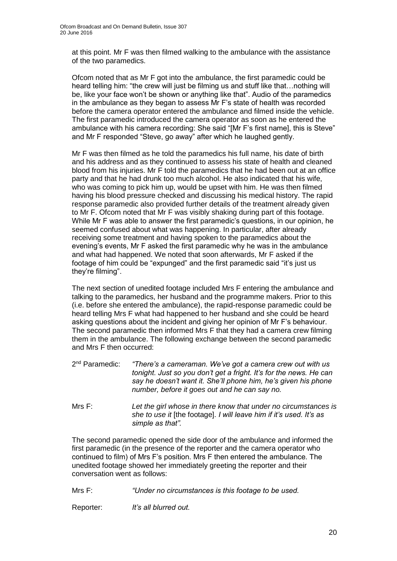at this point. Mr F was then filmed walking to the ambulance with the assistance of the two paramedics.

Ofcom noted that as Mr F got into the ambulance, the first paramedic could be heard telling him: "the crew will just be filming us and stuff like that...nothing will be, like your face won't be shown or anything like that". Audio of the paramedics in the ambulance as they began to assess Mr F's state of health was recorded before the camera operator entered the ambulance and filmed inside the vehicle. The first paramedic introduced the camera operator as soon as he entered the ambulance with his camera recording: She said "[Mr F's first name], this is Steve" and Mr F responded "Steve, go away" after which he laughed gently.

Mr F was then filmed as he told the paramedics his full name, his date of birth and his address and as they continued to assess his state of health and cleaned blood from his injuries. Mr F told the paramedics that he had been out at an office party and that he had drunk too much alcohol. He also indicated that his wife, who was coming to pick him up, would be upset with him. He was then filmed having his blood pressure checked and discussing his medical history. The rapid response paramedic also provided further details of the treatment already given to Mr F. Ofcom noted that Mr F was visibly shaking during part of this footage. While Mr F was able to answer the first paramedic's questions, in our opinion, he seemed confused about what was happening. In particular, after already receiving some treatment and having spoken to the paramedics about the evening's events, Mr F asked the first paramedic why he was in the ambulance and what had happened. We noted that soon afterwards, Mr F asked if the footage of him could be "expunged" and the first paramedic said "it's just us they're filming".

The next section of unedited footage included Mrs F entering the ambulance and talking to the paramedics, her husband and the programme makers. Prior to this (i.e. before she entered the ambulance), the rapid-response paramedic could be heard telling Mrs F what had happened to her husband and she could be heard asking questions about the incident and giving her opinion of Mr F's behaviour. The second paramedic then informed Mrs F that they had a camera crew filming them in the ambulance. The following exchange between the second paramedic and Mrs F then occurred:

- 2<sup>nd</sup> Paramedic: "There's a cameraman. We've got a camera crew out with us *tonight. Just so you don't get a fright. It's for the news. He can say he doesn't want it. She'll phone him, he's given his phone number, before it goes out and he can say no.*
- Mrs F: *Let the girl whose in there know that under no circumstances is she to use it* [the footage]. *I will leave him if it's used. It's as simple as that".*

The second paramedic opened the side door of the ambulance and informed the first paramedic (in the presence of the reporter and the camera operator who continued to film) of Mrs F's position. Mrs F then entered the ambulance. The unedited footage showed her immediately greeting the reporter and their conversation went as follows:

Mrs F: *"Under no circumstances is this footage to be used.*

Reporter: *It's all blurred out.*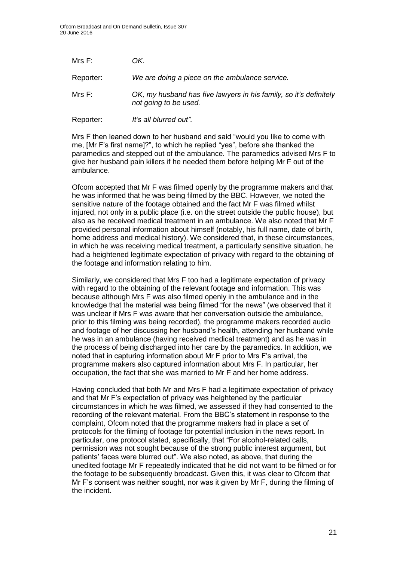| Mrs F:    | OK.                                                                                        |
|-----------|--------------------------------------------------------------------------------------------|
| Reporter: | We are doing a piece on the ambulance service.                                             |
| Mrs F:    | OK, my husband has five lawyers in his family, so it's definitely<br>not going to be used. |
| Reporter: | It's all blurred out".                                                                     |

Mrs F then leaned down to her husband and said "would you like to come with me, [Mr F's first name]?", to which he replied "yes", before she thanked the paramedics and stepped out of the ambulance. The paramedics advised Mrs F to give her husband pain killers if he needed them before helping Mr F out of the ambulance.

Ofcom accepted that Mr F was filmed openly by the programme makers and that he was informed that he was being filmed by the BBC. However, we noted the sensitive nature of the footage obtained and the fact Mr F was filmed whilst injured, not only in a public place (i.e. on the street outside the public house), but also as he received medical treatment in an ambulance. We also noted that Mr F provided personal information about himself (notably, his full name, date of birth, home address and medical history). We considered that, in these circumstances, in which he was receiving medical treatment, a particularly sensitive situation, he had a heightened legitimate expectation of privacy with regard to the obtaining of the footage and information relating to him.

Similarly, we considered that Mrs F too had a legitimate expectation of privacy with regard to the obtaining of the relevant footage and information. This was because although Mrs F was also filmed openly in the ambulance and in the knowledge that the material was being filmed "for the news" (we observed that it was unclear if Mrs F was aware that her conversation outside the ambulance, prior to this filming was being recorded), the programme makers recorded audio and footage of her discussing her husband's health, attending her husband while he was in an ambulance (having received medical treatment) and as he was in the process of being discharged into her care by the paramedics. In addition, we noted that in capturing information about Mr F prior to Mrs F's arrival, the programme makers also captured information about Mrs F. In particular, her occupation, the fact that she was married to Mr F and her home address.

Having concluded that both Mr and Mrs F had a legitimate expectation of privacy and that Mr F's expectation of privacy was heightened by the particular circumstances in which he was filmed, we assessed if they had consented to the recording of the relevant material. From the BBC's statement in response to the complaint, Ofcom noted that the programme makers had in place a set of protocols for the filming of footage for potential inclusion in the news report. In particular, one protocol stated, specifically, that "For alcohol-related calls, permission was not sought because of the strong public interest argument, but patients' faces were blurred out". We also noted, as above, that during the unedited footage Mr F repeatedly indicated that he did not want to be filmed or for the footage to be subsequently broadcast. Given this, it was clear to Ofcom that Mr F's consent was neither sought, nor was it given by Mr F, during the filming of the incident.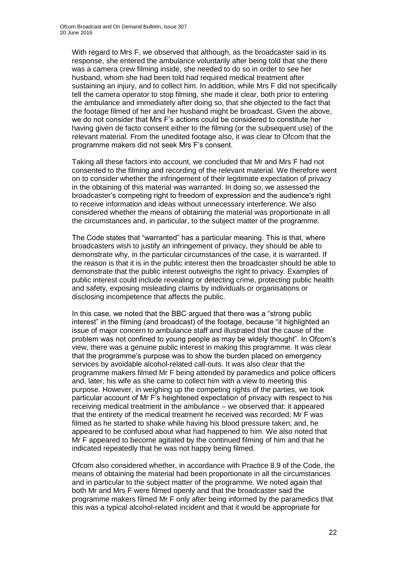With regard to Mrs F, we observed that although, as the broadcaster said in its response, she entered the ambulance voluntarily after being told that she there was a camera crew filming inside, she needed to do so in order to see her husband, whom she had been told had required medical treatment after sustaining an injury, and to collect him. In addition, while Mrs F did not specifically tell the camera operator to stop filming, she made it clear, both prior to entering the ambulance and immediately after doing so, that she objected to the fact that the footage filmed of her and her husband might be broadcast. Given the above, we do not consider that Mrs F's actions could be considered to constitute her having given de facto consent either to the filming (or the subsequent use) of the relevant material. From the unedited footage also, it was clear to Ofcom that the programme makers did not seek Mrs F's consent.

Taking all these factors into account, we concluded that Mr and Mrs F had not consented to the filming and recording of the relevant material. We therefore went on to consider whether the infringement of their legitimate expectation of privacy in the obtaining of this material was warranted. In doing so, we assessed the broadcaster's competing right to freedom of expression and the audience's right to receive information and ideas without unnecessary interference. We also considered whether the means of obtaining the material was proportionate in all the circumstances and, in particular, to the subject matter of the programme.

The Code states that "warranted" has a particular meaning. This is that, where broadcasters wish to justify an infringement of privacy, they should be able to demonstrate why, in the particular circumstances of the case, it is warranted. If the reason is that it is in the public interest then the broadcaster should be able to demonstrate that the public interest outweighs the right to privacy. Examples of public interest could include revealing or detecting crime, protecting public health and safety, exposing misleading claims by individuals or organisations or disclosing incompetence that affects the public.

In this case, we noted that the BBC argued that there was a "strong public interest" in the filming (and broadcast) of the footage, because "it highlighted an issue of major concern to ambulance staff and illustrated that the cause of the problem was not confined to young people as may be widely thought". In Ofcom's view, there was a genuine public interest in making this programme. It was clear that the programme's purpose was to show the burden placed on emergency services by avoidable alcohol-related call-outs. It was also clear that the programme makers filmed Mr F being attended by paramedics and police officers and, later, his wife as she came to collect him with a view to meeting this purpose. However, in weighing up the competing rights of the parties, we took particular account of Mr F's heightened expectation of privacy with respect to his receiving medical treatment in the ambulance – we observed that: it appeared that the entirety of the medical treatment he received was recorded; Mr F was filmed as he started to shake while having his blood pressure taken; and, he appeared to be confused about what had happened to him. We also noted that Mr F appeared to become agitated by the continued filming of him and that he indicated repeatedly that he was not happy being filmed.

Ofcom also considered whether, in accordance with Practice 8.9 of the Code, the means of obtaining the material had been proportionate in all the circumstances and in particular to the subject matter of the programme. We noted again that both Mr and Mrs F were filmed openly and that the broadcaster said the programme makers filmed Mr F only after being informed by the paramedics that this was a typical alcohol-related incident and that it would be appropriate for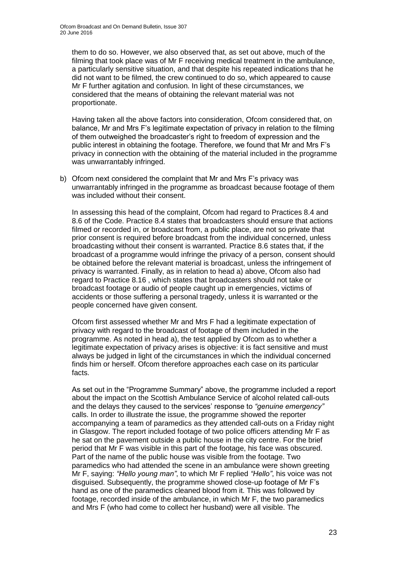them to do so. However, we also observed that, as set out above, much of the filming that took place was of Mr F receiving medical treatment in the ambulance, a particularly sensitive situation, and that despite his repeated indications that he did not want to be filmed, the crew continued to do so, which appeared to cause Mr F further agitation and confusion. In light of these circumstances, we considered that the means of obtaining the relevant material was not proportionate.

Having taken all the above factors into consideration, Ofcom considered that, on balance, Mr and Mrs F's legitimate expectation of privacy in relation to the filming of them outweighed the broadcaster's right to freedom of expression and the public interest in obtaining the footage. Therefore, we found that Mr and Mrs F's privacy in connection with the obtaining of the material included in the programme was unwarrantably infringed.

b) Ofcom next considered the complaint that Mr and Mrs F's privacy was unwarrantably infringed in the programme as broadcast because footage of them was included without their consent.

In assessing this head of the complaint, Ofcom had regard to Practices 8.4 and 8.6 of the Code. Practice 8.4 states that broadcasters should ensure that actions filmed or recorded in, or broadcast from, a public place, are not so private that prior consent is required before broadcast from the individual concerned, unless broadcasting without their consent is warranted. Practice 8.6 states that, if the broadcast of a programme would infringe the privacy of a person, consent should be obtained before the relevant material is broadcast, unless the infringement of privacy is warranted. Finally, as in relation to head a) above, Ofcom also had regard to Practice 8.16 , which states that broadcasters should not take or broadcast footage or audio of people caught up in emergencies, victims of accidents or those suffering a personal tragedy, unless it is warranted or the people concerned have given consent.

Ofcom first assessed whether Mr and Mrs F had a legitimate expectation of privacy with regard to the broadcast of footage of them included in the programme. As noted in head a), the test applied by Ofcom as to whether a legitimate expectation of privacy arises is objective: it is fact sensitive and must always be judged in light of the circumstances in which the individual concerned finds him or herself. Ofcom therefore approaches each case on its particular facts.

As set out in the "Programme Summary" above, the programme included a report about the impact on the Scottish Ambulance Service of alcohol related call-outs and the delays they caused to the services' response to *"genuine emergency"* calls. In order to illustrate the issue, the programme showed the reporter accompanying a team of paramedics as they attended call-outs on a Friday night in Glasgow. The report included footage of two police officers attending Mr F as he sat on the pavement outside a public house in the city centre. For the brief period that Mr F was visible in this part of the footage, his face was obscured. Part of the name of the public house was visible from the footage. Two paramedics who had attended the scene in an ambulance were shown greeting Mr F, saying: *"Hello young man"*, to which Mr F replied *"Hello"*, his voice was not disguised. Subsequently, the programme showed close-up footage of Mr F's hand as one of the paramedics cleaned blood from it. This was followed by footage, recorded inside of the ambulance, in which Mr F, the two paramedics and Mrs F (who had come to collect her husband) were all visible. The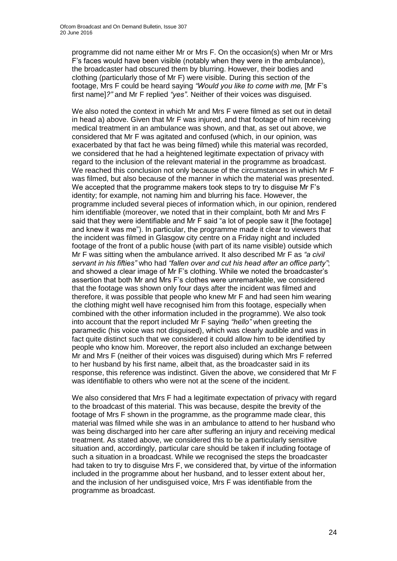programme did not name either Mr or Mrs F. On the occasion(s) when Mr or Mrs F's faces would have been visible (notably when they were in the ambulance), the broadcaster had obscured them by blurring. However, their bodies and clothing (particularly those of Mr F) were visible. During this section of the footage, Mrs F could be heard saying *"Would you like to come with me,* [Mr F's first name]*?"* and Mr F replied *"yes"*. Neither of their voices was disguised.

We also noted the context in which Mr and Mrs F were filmed as set out in detail in head a) above. Given that Mr F was injured, and that footage of him receiving medical treatment in an ambulance was shown, and that, as set out above, we considered that Mr F was agitated and confused (which, in our opinion, was exacerbated by that fact he was being filmed) while this material was recorded, we considered that he had a heightened legitimate expectation of privacy with regard to the inclusion of the relevant material in the programme as broadcast. We reached this conclusion not only because of the circumstances in which Mr F was filmed, but also because of the manner in which the material was presented. We accepted that the programme makers took steps to try to disguise Mr F's identity; for example, not naming him and blurring his face. However, the programme included several pieces of information which, in our opinion, rendered him identifiable (moreover, we noted that in their complaint, both Mr and Mrs F said that they were identifiable and Mr F said "a lot of people saw it [the footage] and knew it was me"). In particular, the programme made it clear to viewers that the incident was filmed in Glasgow city centre on a Friday night and included footage of the front of a public house (with part of its name visible) outside which Mr F was sitting when the ambulance arrived. It also described Mr F as *"a civil servant in his fifties"* who had *"fallen over and cut his head after an office party"*; and showed a clear image of Mr F's clothing. While we noted the broadcaster's assertion that both Mr and Mrs F's clothes were unremarkable, we considered that the footage was shown only four days after the incident was filmed and therefore, it was possible that people who knew Mr F and had seen him wearing the clothing might well have recognised him from this footage, especially when combined with the other information included in the programme). We also took into account that the report included Mr F saying *"hello"* when greeting the paramedic (his voice was not disguised), which was clearly audible and was in fact quite distinct such that we considered it could allow him to be identified by people who know him. Moreover, the report also included an exchange between Mr and Mrs F (neither of their voices was disguised) during which Mrs F referred to her husband by his first name, albeit that, as the broadcaster said in its response, this reference was indistinct. Given the above, we considered that Mr F was identifiable to others who were not at the scene of the incident.

We also considered that Mrs F had a legitimate expectation of privacy with regard to the broadcast of this material. This was because, despite the brevity of the footage of Mrs F shown in the programme, as the programme made clear, this material was filmed while she was in an ambulance to attend to her husband who was being discharged into her care after suffering an injury and receiving medical treatment. As stated above, we considered this to be a particularly sensitive situation and, accordingly, particular care should be taken if including footage of such a situation in a broadcast. While we recognised the steps the broadcaster had taken to try to disguise Mrs F, we considered that, by virtue of the information included in the programme about her husband, and to lesser extent about her, and the inclusion of her undisguised voice, Mrs F was identifiable from the programme as broadcast.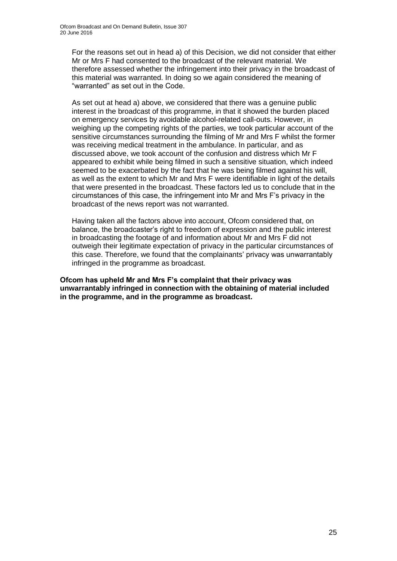For the reasons set out in head a) of this Decision, we did not consider that either Mr or Mrs F had consented to the broadcast of the relevant material. We therefore assessed whether the infringement into their privacy in the broadcast of this material was warranted. In doing so we again considered the meaning of "warranted" as set out in the Code.

As set out at head a) above, we considered that there was a genuine public interest in the broadcast of this programme, in that it showed the burden placed on emergency services by avoidable alcohol-related call-outs. However, in weighing up the competing rights of the parties, we took particular account of the sensitive circumstances surrounding the filming of Mr and Mrs F whilst the former was receiving medical treatment in the ambulance. In particular, and as discussed above, we took account of the confusion and distress which Mr F appeared to exhibit while being filmed in such a sensitive situation, which indeed seemed to be exacerbated by the fact that he was being filmed against his will, as well as the extent to which Mr and Mrs F were identifiable in light of the details that were presented in the broadcast. These factors led us to conclude that in the circumstances of this case, the infringement into Mr and Mrs F's privacy in the broadcast of the news report was not warranted.

Having taken all the factors above into account, Ofcom considered that, on balance, the broadcaster's right to freedom of expression and the public interest in broadcasting the footage of and information about Mr and Mrs F did not outweigh their legitimate expectation of privacy in the particular circumstances of this case. Therefore, we found that the complainants' privacy was unwarrantably infringed in the programme as broadcast.

**Ofcom has upheld Mr and Mrs F's complaint that their privacy was unwarrantably infringed in connection with the obtaining of material included in the programme, and in the programme as broadcast.**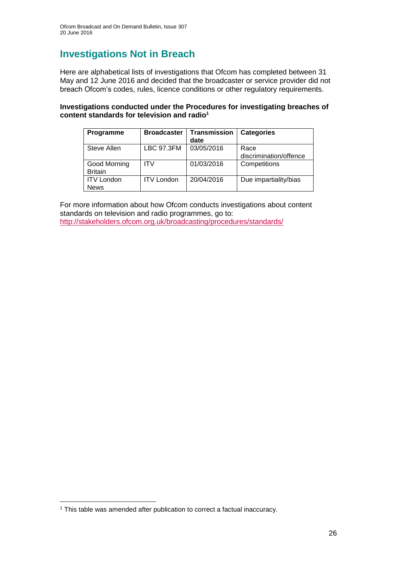# **Investigations Not in Breach**

Here are alphabetical lists of investigations that Ofcom has completed between 31 May and 12 June 2016 and decided that the broadcaster or service provider did not breach Ofcom's codes, rules, licence conditions or other regulatory requirements.

#### **Investigations conducted under the Procedures for investigating breaches of content standards for television and radio<sup>1</sup>**

| Programme                        | <b>Broadcaster</b> | <b>Transmission</b><br>date | <b>Categories</b>              |
|----------------------------------|--------------------|-----------------------------|--------------------------------|
| Steve Allen                      | <b>LBC 97.3FM</b>  | 03/05/2016                  | Race<br>discrimination/offence |
| Good Morning<br><b>Britain</b>   | ITV                | 01/03/2016                  | Competitions                   |
| <b>ITV London</b><br><b>News</b> | <b>ITV London</b>  | 20/04/2016                  | Due impartiality/bias          |

For more information about how Ofcom conducts investigations about content standards on television and radio programmes, go to: <http://stakeholders.ofcom.org.uk/broadcasting/procedures/standards/>

<sup>1</sup> <sup>1</sup> This table was amended after publication to correct a factual inaccuracy.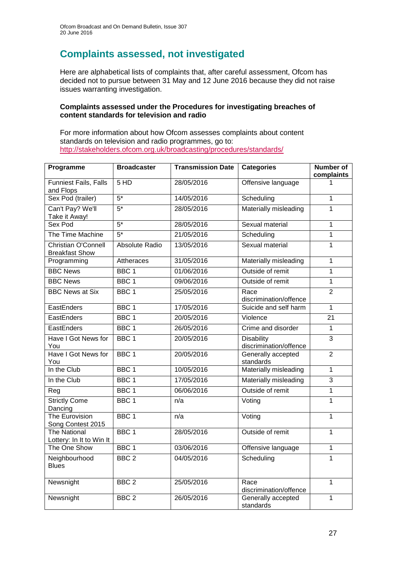# **Complaints assessed, not investigated**

Here are alphabetical lists of complaints that, after careful assessment, Ofcom has decided not to pursue between 31 May and 12 June 2016 because they did not raise issues warranting investigation.

#### **Complaints assessed under the Procedures for investigating breaches of content standards for television and radio**

For more information about how Ofcom assesses complaints about content standards on television and radio programmes, go to: <http://stakeholders.ofcom.org.uk/broadcasting/procedures/standards/>

| Programme                                           | <b>Broadcaster</b> | <b>Transmission Date</b> | <b>Categories</b>                           | <b>Number of</b><br>complaints |
|-----------------------------------------------------|--------------------|--------------------------|---------------------------------------------|--------------------------------|
| <b>Funniest Fails, Falls</b><br>and Flops           | 5HD                | 28/05/2016               | Offensive language                          | 1                              |
| Sex Pod (trailer)                                   | $\overline{5^*}$   | 14/05/2016               | Scheduling                                  | $\mathbf{1}$                   |
| Can't Pay? We'll<br>Take it Away!                   | $5*$               | 28/05/2016               | Materially misleading                       | 1                              |
| Sex Pod                                             | $5*$               | 28/05/2016               | Sexual material                             | $\mathbf{1}$                   |
| The Time Machine                                    | $5*$               | 21/05/2016               | Scheduling                                  | $\mathbf{1}$                   |
| <b>Christian O'Connell</b><br><b>Breakfast Show</b> | Absolute Radio     | 13/05/2016               | Sexual material                             | $\mathbf{1}$                   |
| Programming                                         | Attheraces         | 31/05/2016               | Materially misleading                       | $\mathbf{1}$                   |
| <b>BBC News</b>                                     | BBC <sub>1</sub>   | 01/06/2016               | Outside of remit                            | $\mathbf{1}$                   |
| <b>BBC News</b>                                     | BBC <sub>1</sub>   | 09/06/2016               | Outside of remit                            | $\mathbf{1}$                   |
| <b>BBC News at Six</b>                              | BBC <sub>1</sub>   | 25/05/2016               | Race<br>discrimination/offence              | $\overline{2}$                 |
| EastEnders                                          | BBC <sub>1</sub>   | 17/05/2016               | Suicide and self harm                       | $\overline{1}$                 |
| EastEnders                                          | BBC <sub>1</sub>   | 20/05/2016               | Violence                                    | $\overline{21}$                |
| EastEnders                                          | BBC <sub>1</sub>   | 26/05/2016               | Crime and disorder                          | 1                              |
| Have I Got News for<br>You                          | BBC <sub>1</sub>   | 20/05/2016               | <b>Disability</b><br>discrimination/offence | 3                              |
| Have I Got News for<br>You                          | BBC <sub>1</sub>   | 20/05/2016               | Generally accepted<br>standards             | $\overline{2}$                 |
| In the Club                                         | BBC <sub>1</sub>   | 10/05/2016               | Materially misleading                       | $\mathbf{1}$                   |
| In the Club                                         | BBC <sub>1</sub>   | 17/05/2016               | Materially misleading                       | 3                              |
| Reg                                                 | BBC <sub>1</sub>   | 06/06/2016               | Outside of remit                            | $\overline{1}$                 |
| <b>Strictly Come</b><br>Dancing                     | BBC <sub>1</sub>   | n/a                      | Voting                                      | $\overline{1}$                 |
| The Eurovision<br>Song Contest 2015                 | BBC <sub>1</sub>   | n/a                      | Voting                                      | 1                              |
| <b>The National</b><br>Lottery: In It to Win It     | BBC <sub>1</sub>   | 28/05/2016               | Outside of remit                            | $\mathbf{1}$                   |
| The One Show                                        | BBC <sub>1</sub>   | 03/06/2016               | Offensive language                          | $\mathbf{1}$                   |
| Neighbourhood<br><b>Blues</b>                       | BBC <sub>2</sub>   | 04/05/2016               | Scheduling                                  | $\overline{1}$                 |
| Newsnight                                           | BBC <sub>2</sub>   | 25/05/2016               | Race<br>discrimination/offence              | 1                              |
| Newsnight                                           | BBC <sub>2</sub>   | 26/05/2016               | Generally accepted<br>standards             | $\mathbf 1$                    |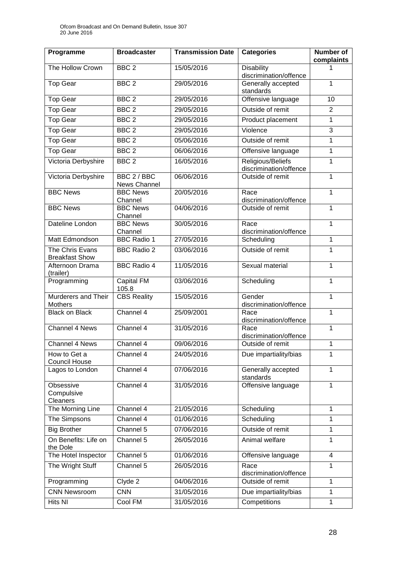| Programme                                | <b>Broadcaster</b>          | <b>Transmission Date</b> | <b>Categories</b>                           | <b>Number of</b><br>complaints |
|------------------------------------------|-----------------------------|--------------------------|---------------------------------------------|--------------------------------|
| The Hollow Crown                         | BBC <sub>2</sub>            | 15/05/2016               | <b>Disability</b><br>discrimination/offence | 1                              |
| <b>Top Gear</b>                          | BBC <sub>2</sub>            | 29/05/2016               | Generally accepted<br>standards             | 1                              |
| Top Gear                                 | BBC <sub>2</sub>            | 29/05/2016               | Offensive language                          | 10                             |
| <b>Top Gear</b>                          | BBC <sub>2</sub>            | 29/05/2016               | Outside of remit                            | $\overline{2}$                 |
| <b>Top Gear</b>                          | BBC <sub>2</sub>            | 29/05/2016               | Product placement                           | 1                              |
| Top Gear                                 | BBC <sub>2</sub>            | 29/05/2016               | Violence                                    | 3                              |
| <b>Top Gear</b>                          | BBC <sub>2</sub>            | 05/06/2016               | Outside of remit                            | 1                              |
| <b>Top Gear</b>                          | BBC <sub>2</sub>            | 06/06/2016               | Offensive language                          | $\mathbf{1}$                   |
| Victoria Derbyshire                      | BBC <sub>2</sub>            | 16/05/2016               | Religious/Beliefs<br>discrimination/offence | $\mathbf{1}$                   |
| Victoria Derbyshire                      | BBC 2 / BBC<br>News Channel | 06/06/2016               | Outside of remit                            | $\mathbf{1}$                   |
| <b>BBC News</b>                          | <b>BBC</b> News<br>Channel  | 20/05/2016               | Race<br>discrimination/offence              | $\mathbf{1}$                   |
| <b>BBC News</b>                          | <b>BBC News</b><br>Channel  | 04/06/2016               | Outside of remit                            | $\mathbf{1}$                   |
| Dateline London                          | <b>BBC News</b><br>Channel  | 30/05/2016               | Race<br>discrimination/offence              | $\mathbf{1}$                   |
| Matt Edmondson                           | <b>BBC Radio 1</b>          | 27/05/2016               | Scheduling                                  | $\mathbf{1}$                   |
| The Chris Evans<br><b>Breakfast Show</b> | <b>BBC Radio 2</b>          | 03/06/2016               | Outside of remit                            | 1                              |
| Afternoon Drama<br>(trailer)             | <b>BBC Radio 4</b>          | 11/05/2016               | Sexual material                             | $\mathbf{1}$                   |
| Programming                              | Capital FM<br>105.8         | 03/06/2016               | Scheduling                                  | 1                              |
| Murderers and Their<br>Mothers           | <b>CBS Reality</b>          | 15/05/2016               | Gender<br>discrimination/offence            | 1                              |
| <b>Black on Black</b>                    | Channel 4                   | 25/09/2001               | Race<br>discrimination/offence              | $\mathbf{1}$                   |
| Channel 4 News                           | Channel 4                   | 31/05/2016               | Race<br>discrimination/offence              | $\mathbf{1}$                   |
| <b>Channel 4 News</b>                    | Channel 4                   | 09/06/2016               | Outside of remit                            | 1                              |
| How to Get a<br><b>Council House</b>     | Channel 4                   | 24/05/2016               | Due impartiality/bias                       | 1                              |
| Lagos to London                          | Channel 4                   | 07/06/2016               | Generally accepted<br>standards             | 1                              |
| Obsessive<br>Compulsive<br>Cleaners      | Channel 4                   | 31/05/2016               | Offensive language                          | $\mathbf{1}$                   |
| The Morning Line                         | Channel 4                   | 21/05/2016               | Scheduling                                  | 1                              |
| The Simpsons                             | Channel 4                   | 01/06/2016               | Scheduling                                  | 1                              |
| <b>Big Brother</b>                       | Channel 5                   | 07/06/2016               | Outside of remit                            | $\mathbf{1}$                   |
| On Benefits: Life on<br>the Dole         | Channel 5                   | 26/05/2016               | Animal welfare                              | 1                              |
| The Hotel Inspector                      | Channel 5                   | 01/06/2016               | Offensive language                          | 4                              |
| The Wright Stuff                         | Channel 5                   | 26/05/2016               | Race<br>discrimination/offence              | 1                              |
| Programming                              | Clyde 2                     | 04/06/2016               | Outside of remit                            | $\mathbf{1}$                   |
| <b>CNN Newsroom</b>                      | <b>CNN</b>                  | 31/05/2016               | Due impartiality/bias                       | 1                              |
| Hits NI                                  | Cool FM                     | 31/05/2016               | Competitions                                | 1                              |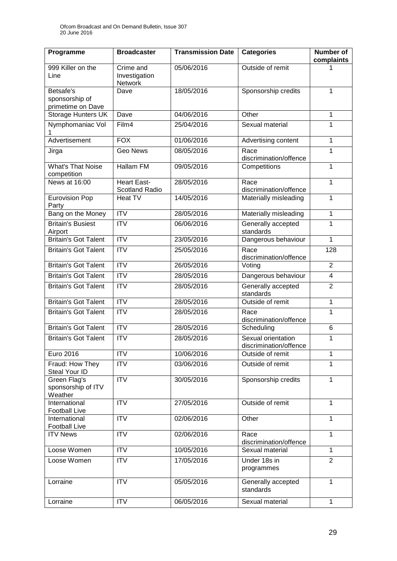| Programme                                        | <b>Broadcaster</b>                           | <b>Transmission Date</b> | <b>Categories</b>                            | <b>Number of</b><br>complaints |
|--------------------------------------------------|----------------------------------------------|--------------------------|----------------------------------------------|--------------------------------|
| 999 Killer on the<br>Line                        | Crime and<br>Investigation<br><b>Network</b> | 05/06/2016               | Outside of remit                             |                                |
| Betsafe's<br>sponsorship of<br>primetime on Dave | Dave                                         | 18/05/2016               | Sponsorship credits                          | 1                              |
| Storage Hunters UK                               | Dave                                         | 04/06/2016               | Other                                        | $\mathbf{1}$                   |
| Nymphomaniac Vol                                 | Film4                                        | 25/04/2016               | Sexual material                              | 1                              |
| Advertisement                                    | <b>FOX</b>                                   | 01/06/2016               | Advertising content                          | 1                              |
| Jirga                                            | Geo News                                     | 08/05/2016               | Race<br>discrimination/offence               | 1                              |
| <b>What's That Noise</b><br>competition          | Hallam FM                                    | 09/05/2016               | Competitions                                 | $\mathbf 1$                    |
| News at 16:00                                    | <b>Heart East-</b><br>Scotland Radio         | 28/05/2016               | Race<br>discrimination/offence               | 1                              |
| <b>Eurovision Pop</b><br>Party                   | Heat TV                                      | 14/05/2016               | Materially misleading                        | $\mathbf 1$                    |
| Bang on the Money                                | $\overline{ITV}$                             | 28/05/2016               | Materially misleading                        | 1                              |
| <b>Britain's Busiest</b><br>Airport              | $\overline{\text{IV}}$                       | 06/06/2016               | Generally accepted<br>standards              | $\mathbf 1$                    |
| <b>Britain's Got Talent</b>                      | $\overline{ITV}$                             | 23/05/2016               | Dangerous behaviour                          | 1                              |
| <b>Britain's Got Talent</b>                      | $\overline{ITV}$                             | 25/05/2016               | Race<br>discrimination/offence               | 128                            |
| Britain's Got Talent                             | <b>ITV</b>                                   | 26/05/2016               | Voting                                       | $\overline{2}$                 |
| <b>Britain's Got Talent</b>                      | <b>ITV</b>                                   | 28/05/2016               | Dangerous behaviour                          | $\overline{\mathbf{4}}$        |
| <b>Britain's Got Talent</b>                      | <b>ITV</b>                                   | 28/05/2016               | Generally accepted<br>standards              | $\overline{2}$                 |
| <b>Britain's Got Talent</b>                      | <b>ITV</b>                                   | 28/05/2016               | Outside of remit                             | $\mathbf 1$                    |
| <b>Britain's Got Talent</b>                      | <b>ITV</b>                                   | 28/05/2016               | Race<br>discrimination/offence               | $\mathbf{1}$                   |
| <b>Britain's Got Talent</b>                      | <b>ITV</b>                                   | 28/05/2016               | Scheduling                                   | 6                              |
| <b>Britain's Got Talent</b>                      | <b>ITV</b>                                   | 28/05/2016               | Sexual orientation<br>discrimination/offence | 1                              |
| Euro 2016                                        | <b>ITV</b>                                   | 10/06/2016               | Outside of remit                             | $\mathbf{1}$                   |
| Fraud: How They<br>Steal Your ID                 | <b>ITV</b>                                   | 03/06/2016               | Outside of remit                             | $\mathbf{1}$                   |
| Green Flag's<br>sponsorship of ITV<br>Weather    | <b>ITV</b>                                   | 30/05/2016               | Sponsorship credits                          | $\mathbf{1}$                   |
| International<br><b>Football Live</b>            | <b>ITV</b>                                   | 27/05/2016               | Outside of remit                             | $\mathbf{1}$                   |
| International<br><b>Football Live</b>            | <b>ITV</b>                                   | 02/06/2016               | Other                                        | $\mathbf{1}$                   |
| <b>ITV News</b>                                  | <b>ITV</b>                                   | 02/06/2016               | Race<br>discrimination/offence               | 1                              |
| Loose Women                                      | ITV                                          | 10/05/2016               | Sexual material                              | $\mathbf{1}$                   |
| Loose Women                                      | <b>ITV</b>                                   | 17/05/2016               | Under 18s in<br>programmes                   | $\overline{2}$                 |
| Lorraine                                         | <b>ITV</b>                                   | 05/05/2016               | Generally accepted<br>standards              | 1                              |
| Lorraine                                         | <b>ITV</b>                                   | 06/05/2016               | Sexual material                              | $\mathbf{1}$                   |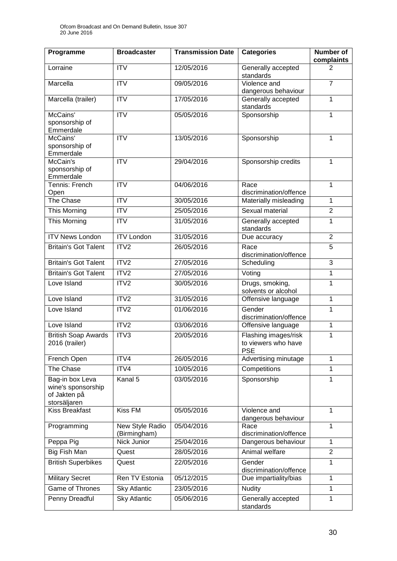| Programme                                                             | <b>Broadcaster</b>              | <b>Transmission Date</b> | <b>Categories</b>                                         | <b>Number of</b><br>complaints |
|-----------------------------------------------------------------------|---------------------------------|--------------------------|-----------------------------------------------------------|--------------------------------|
| Lorraine                                                              | <b>ITV</b>                      | 12/05/2016               | Generally accepted<br>standards                           | 2                              |
| Marcella                                                              | <b>ITV</b>                      | 09/05/2016               | Violence and<br>dangerous behaviour                       | $\overline{7}$                 |
| Marcella (trailer)                                                    | <b>ITV</b>                      | 17/05/2016               | Generally accepted<br>standards                           | 1                              |
| McCains'<br>sponsorship of<br>Emmerdale                               | <b>ITV</b>                      | 05/05/2016               | Sponsorship                                               | 1                              |
| McCains'<br>sponsorship of<br>Emmerdale                               | <b>ITV</b>                      | 13/05/2016               | Sponsorship                                               | 1                              |
| McCain's<br>sponsorship of<br>Emmerdale                               | <b>ITV</b>                      | 29/04/2016               | Sponsorship credits                                       | $\mathbf{1}$                   |
| Tennis: French<br>Open                                                | $\overline{IV}$                 | 04/06/2016               | Race<br>discrimination/offence                            | $\overline{1}$                 |
| The Chase                                                             | <b>ITV</b>                      | 30/05/2016               | Materially misleading                                     | $\mathbf{1}$                   |
| This Morning                                                          | <b>ITV</b>                      | 25/05/2016               | Sexual material                                           | $\overline{2}$                 |
| This Morning                                                          | <b>ITV</b>                      | 31/05/2016               | Generally accepted<br>standards                           | 1                              |
| <b>ITV News London</b>                                                | <b>ITV London</b>               | 31/05/2016               | Due accuracy                                              | $\overline{2}$                 |
| <b>Britain's Got Talent</b>                                           | ITV2                            | 26/05/2016               | Race<br>discrimination/offence                            | 5                              |
| <b>Britain's Got Talent</b>                                           | ITV2                            | 27/05/2016               | Scheduling                                                | $\overline{3}$                 |
| <b>Britain's Got Talent</b>                                           | ITV <sub>2</sub>                | 27/05/2016               | Voting                                                    | 1                              |
| Love Island                                                           | ITV2                            | 30/05/2016               | Drugs, smoking,<br>solvents or alcohol                    | 1                              |
| Love Island                                                           | ITV <sub>2</sub>                | 31/05/2016               | Offensive language                                        | $\mathbf{1}$                   |
| Love Island                                                           | ITV2                            | 01/06/2016               | Gender<br>discrimination/offence                          | $\mathbf{1}$                   |
| Love Island                                                           | ITV <sub>2</sub>                | 03/06/2016               | Offensive language                                        | 1                              |
| <b>British Soap Awards</b><br>2016 (trailer)                          | ITV3                            | 20/05/2016               | Flashing images/risk<br>to viewers who have<br><b>PSE</b> | 1                              |
| French Open                                                           | ITV4                            | 26/05/2016               | Advertising minutage                                      | 1                              |
| The Chase                                                             | ITV4                            | 10/05/2016               | Competitions                                              | 1                              |
| Bag-in box Leva<br>wine's sponsorship<br>of Jakten på<br>storsäljaren | Kanal 5                         | 03/05/2016               | Sponsorship                                               | 1                              |
| <b>Kiss Breakfast</b>                                                 | Kiss <sub>FM</sub>              | 05/05/2016               | Violence and<br>dangerous behaviour                       | 1                              |
| Programming                                                           | New Style Radio<br>(Birmingham) | 05/04/2016               | Race<br>discrimination/offence                            | 1                              |
| Peppa Pig                                                             | Nick Junior                     | 25/04/2016               | Dangerous behaviour                                       | 1                              |
| Big Fish Man                                                          | Quest                           | 28/05/2016               | Animal welfare                                            | $\overline{2}$                 |
| <b>British Superbikes</b>                                             | Quest                           | 22/05/2016               | Gender<br>discrimination/offence                          | 1                              |
| <b>Military Secret</b>                                                | Ren TV Estonia                  | 05/12/2015               | Due impartiality/bias                                     | 1                              |
| <b>Game of Thrones</b>                                                | <b>Sky Atlantic</b>             | 23/05/2016               | Nudity                                                    | 1                              |
| Penny Dreadful                                                        | <b>Sky Atlantic</b>             | 05/06/2016               | Generally accepted<br>standards                           | 1                              |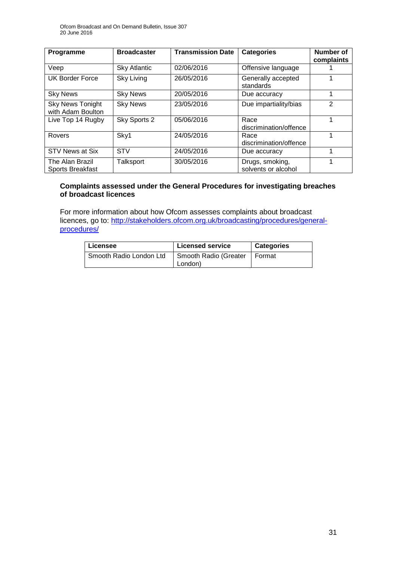| Programme                                    | <b>Broadcaster</b>  | <b>Transmission Date</b> | <b>Categories</b>                      | Number of<br>complaints |
|----------------------------------------------|---------------------|--------------------------|----------------------------------------|-------------------------|
| Veep                                         | <b>Sky Atlantic</b> | 02/06/2016               | Offensive language                     |                         |
| <b>UK Border Force</b>                       | Sky Living          | 26/05/2016               | Generally accepted<br>standards        |                         |
| <b>Sky News</b>                              | <b>Sky News</b>     | 20/05/2016               | Due accuracy                           |                         |
| <b>Sky News Tonight</b><br>with Adam Boulton | <b>Sky News</b>     | 23/05/2016               | Due impartiality/bias                  | 2                       |
| Live Top 14 Rugby                            | Sky Sports 2        | 05/06/2016               | Race<br>discrimination/offence         |                         |
| Rovers                                       | Sky1                | 24/05/2016               | Race<br>discrimination/offence         |                         |
| STV News at Six                              | <b>STV</b>          | 24/05/2016               | Due accuracy                           | 1                       |
| The Alan Brazil<br>Sports Breakfast          | Talksport           | 30/05/2016               | Drugs, smoking,<br>solvents or alcohol |                         |

#### **Complaints assessed under the General Procedures for investigating breaches of broadcast licences**

For more information about how Ofcom assesses complaints about broadcast licences, go to: [http://stakeholders.ofcom.org.uk/broadcasting/procedures/general](http://stakeholders.ofcom.org.uk/broadcasting/procedures/general-procedures/)[procedures/](http://stakeholders.ofcom.org.uk/broadcasting/procedures/general-procedures/)

| Licensee                | <b>Licensed service</b> | <b>Categories</b> |
|-------------------------|-------------------------|-------------------|
| Smooth Radio London Ltd | Smooth Radio (Greater   | I Format          |
|                         | London)                 |                   |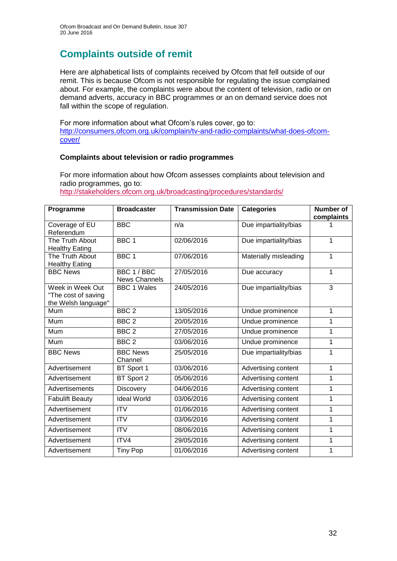# **Complaints outside of remit**

Here are alphabetical lists of complaints received by Ofcom that fell outside of our remit. This is because Ofcom is not responsible for regulating the issue complained about. For example, the complaints were about the content of television, radio or on demand adverts, accuracy in BBC programmes or an on demand service does not fall within the scope of regulation.

For more information about what Ofcom's rules cover, go to: [http://consumers.ofcom.org.uk/complain/tv-and-radio-complaints/what-does-ofcom](http://consumers.ofcom.org.uk/complain/tv-and-radio-complaints/what-does-ofcom-cover/)[cover/](http://consumers.ofcom.org.uk/complain/tv-and-radio-complaints/what-does-ofcom-cover/)

#### **Complaints about television or radio programmes**

For more information about how Ofcom assesses complaints about television and radio programmes, go to:

<http://stakeholders.ofcom.org.uk/broadcasting/procedures/standards/>

| Programme                                                      | <b>Broadcaster</b>                  | <b>Transmission Date</b> | <b>Categories</b>     | <b>Number of</b><br>complaints |
|----------------------------------------------------------------|-------------------------------------|--------------------------|-----------------------|--------------------------------|
| Coverage of EU<br>Referendum                                   | <b>BBC</b>                          | n/a                      | Due impartiality/bias |                                |
| The Truth About<br><b>Healthy Eating</b>                       | BBC <sub>1</sub>                    | 02/06/2016               | Due impartiality/bias | 1                              |
| The Truth About<br><b>Healthy Eating</b>                       | BBC <sub>1</sub>                    | 07/06/2016               | Materially misleading | 1                              |
| <b>BBC News</b>                                                | BBC 1 / BBC<br><b>News Channels</b> | 27/05/2016               | Due accuracy          | 1                              |
| Week in Week Out<br>"The cost of saving<br>the Welsh language" | <b>BBC 1 Wales</b>                  | 24/05/2016               | Due impartiality/bias | 3                              |
| Mum                                                            | BBC <sub>2</sub>                    | 13/05/2016               | Undue prominence      | 1                              |
| Mum                                                            | BBC <sub>2</sub>                    | 20/05/2016               | Undue prominence      | 1                              |
| Mum                                                            | BBC <sub>2</sub>                    | 27/05/2016               | Undue prominence      | 1                              |
| Mum                                                            | BBC <sub>2</sub>                    | 03/06/2016               | Undue prominence      | 1                              |
| <b>BBC News</b>                                                | <b>BBC News</b><br>Channel          | 25/05/2016               | Due impartiality/bias | 1                              |
| Advertisement                                                  | BT Sport 1                          | 03/06/2016               | Advertising content   | 1                              |
| Advertisement                                                  | BT Sport 2                          | 05/06/2016               | Advertising content   | 1                              |
| Advertisements                                                 | Discovery                           | 04/06/2016               | Advertising content   | 1                              |
| <b>Fabulift Beauty</b>                                         | <b>Ideal World</b>                  | 03/06/2016               | Advertising content   | 1                              |
| Advertisement                                                  | <b>ITV</b>                          | 01/06/2016               | Advertising content   | 1                              |
| Advertisement                                                  | <b>ITV</b>                          | 03/06/2016               | Advertising content   | 1                              |
| Advertisement                                                  | <b>ITV</b>                          | 08/06/2016               | Advertising content   | 1                              |
| Advertisement                                                  | ITV4                                | 29/05/2016               | Advertising content   | 1                              |
| Advertisement                                                  | Tiny Pop                            | 01/06/2016               | Advertising content   | 1                              |